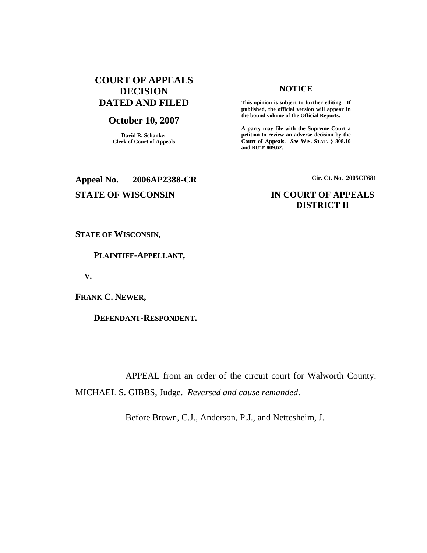# **COURT OF APPEALS DECISION DATED AND FILED**

## **October 10, 2007**

**David R. Schanker Clerk of Court of Appeals**

### **NOTICE**

**This opinion is subject to further editing. If published, the official version will appear in the bound volume of the Official Reports.**

**A party may file with the Supreme Court a petition to review an adverse decision by the Court of Appeals.** *See* **WIS. STAT. § 808.10 and RULE 809.62.**

# **Appeal No. 2006AP2388-CR Cir. Ct. No. 2005CF681**

# **STATE OF WISCONSIN IN COURT OF APPEALS DISTRICT II**

**STATE OF WISCONSIN,**

**PLAINTIFF-APPELLANT,**

**V.**

**FRANK C. NEWER,**

**DEFENDANT-RESPONDENT.**

APPEAL from an order of the circuit court for Walworth County: MICHAEL S. GIBBS, Judge. *Reversed and cause remanded*.

Before Brown, C.J., Anderson, P.J., and Nettesheim, J.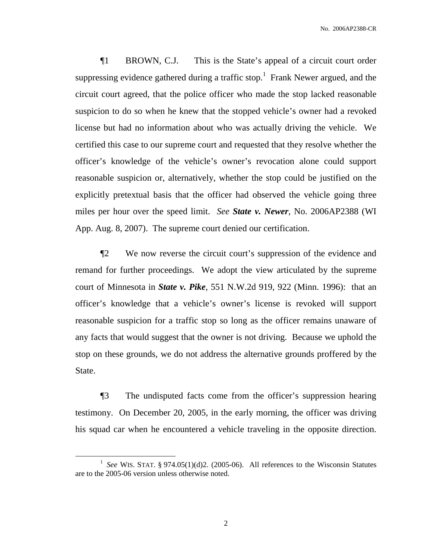¶1 BROWN, C.J. This is the State's appeal of a circuit court order suppressing evidence gathered during a traffic stop.<sup>1</sup> Frank Newer argued, and the circuit court agreed, that the police officer who made the stop lacked reasonable suspicion to do so when he knew that the stopped vehicle's owner had a revoked license but had no information about who was actually driving the vehicle. We certified this case to our supreme court and requested that they resolve whether the officer's knowledge of the vehicle's owner's revocation alone could support reasonable suspicion or, alternatively, whether the stop could be justified on the explicitly pretextual basis that the officer had observed the vehicle going three miles per hour over the speed limit. *See State v. Newer*, No. 2006AP2388 (WI App. Aug. 8, 2007). The supreme court denied our certification.

¶2 We now reverse the circuit court's suppression of the evidence and remand for further proceedings. We adopt the view articulated by the supreme court of Minnesota in *State v. Pike*, 551 N.W.2d 919, 922 (Minn. 1996): that an officer's knowledge that a vehicle's owner's license is revoked will support reasonable suspicion for a traffic stop so long as the officer remains unaware of any facts that would suggest that the owner is not driving. Because we uphold the stop on these grounds, we do not address the alternative grounds proffered by the State.

¶3 The undisputed facts come from the officer's suppression hearing testimony. On December 20, 2005, in the early morning, the officer was driving his squad car when he encountered a vehicle traveling in the opposite direction.

<sup>&</sup>lt;sup>1</sup> See WIS. STAT. § 974.05(1)(d)2. (2005-06). All references to the Wisconsin Statutes are to the 2005-06 version unless otherwise noted.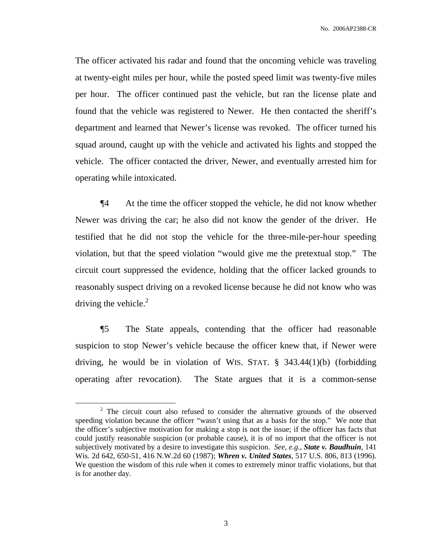No. 2006AP2388-CR

The officer activated his radar and found that the oncoming vehicle was traveling at twenty-eight miles per hour, while the posted speed limit was twenty-five miles per hour. The officer continued past the vehicle, but ran the license plate and found that the vehicle was registered to Newer. He then contacted the sheriff's department and learned that Newer's license was revoked. The officer turned his squad around, caught up with the vehicle and activated his lights and stopped the vehicle. The officer contacted the driver, Newer, and eventually arrested him for operating while intoxicated.

¶4 At the time the officer stopped the vehicle, he did not know whether Newer was driving the car; he also did not know the gender of the driver. He testified that he did not stop the vehicle for the three-mile-per-hour speeding violation, but that the speed violation "would give me the pretextual stop." The circuit court suppressed the evidence, holding that the officer lacked grounds to reasonably suspect driving on a revoked license because he did not know who was driving the vehicle.<sup>2</sup>

¶5 The State appeals, contending that the officer had reasonable suspicion to stop Newer's vehicle because the officer knew that, if Newer were driving, he would be in violation of WIS. STAT.  $\S$  343.44(1)(b) (forbidding operating after revocation). The State argues that it is a common-sense

<sup>&</sup>lt;sup>2</sup> The circuit court also refused to consider the alternative grounds of the observed speeding violation because the officer "wasn't using that as a basis for the stop." We note that the officer's subjective motivation for making a stop is not the issue; if the officer has facts that could justify reasonable suspicion (or probable cause), it is of no import that the officer is not subjectively motivated by a desire to investigate this suspicion. *See, e.g.*, *State v. Baudhuin*, 141 Wis. 2d 642, 650-51, 416 N.W.2d 60 (1987); *Whren v. United States*, 517 U.S. 806, 813 (1996). We question the wisdom of this rule when it comes to extremely minor traffic violations, but that is for another day.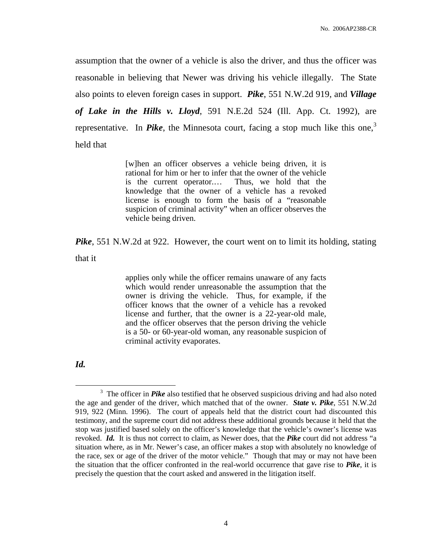assumption that the owner of a vehicle is also the driver, and thus the officer was reasonable in believing that Newer was driving his vehicle illegally. The State also points to eleven foreign cases in support. *Pike*, 551 N.W.2d 919, and *Village of Lake in the Hills v. Lloyd*, 591 N.E.2d 524 (Ill. App. Ct. 1992), are representative. In *Pike*, the Minnesota court, facing a stop much like this one, 3 held that

> [w]hen an officer observes a vehicle being driven, it is rational for him or her to infer that the owner of the vehicle is the current operator.… Thus, we hold that the knowledge that the owner of a vehicle has a revoked license is enough to form the basis of a "reasonable suspicion of criminal activity" when an officer observes the vehicle being driven.

*Pike*, 551 N.W.2d at 922. However, the court went on to limit its holding, stating

that it

applies only while the officer remains unaware of any facts which would render unreasonable the assumption that the owner is driving the vehicle. Thus, for example, if the officer knows that the owner of a vehicle has a revoked license and further, that the owner is a 22-year-old male, and the officer observes that the person driving the vehicle is a 50- or 60-year-old woman, any reasonable suspicion of criminal activity evaporates.

*Id.*

<sup>&</sup>lt;sup>3</sup> The officer in *Pike* also testified that he observed suspicious driving and had also noted the age and gender of the driver, which matched that of the owner. *State v. Pike*, 551 N.W.2d 919, 922 (Minn. 1996). The court of appeals held that the district court had discounted this testimony, and the supreme court did not address these additional grounds because it held that the stop was justified based solely on the officer's knowledge that the vehicle's owner's license was revoked. *Id.* It is thus not correct to claim, as Newer does, that the *Pike* court did not address "a situation where, as in Mr. Newer's case, an officer makes a stop with absolutely no knowledge of the race, sex or age of the driver of the motor vehicle." Though that may or may not have been the situation that the officer confronted in the real-world occurrence that gave rise to *Pike*, it is precisely the question that the court asked and answered in the litigation itself.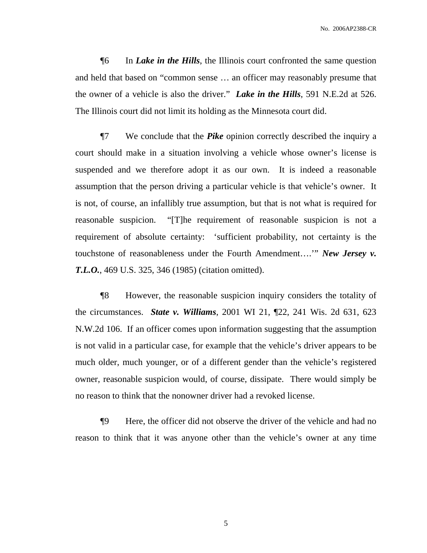No. 2006AP2388-CR

¶6 In *Lake in the Hills*, the Illinois court confronted the same question and held that based on "common sense … an officer may reasonably presume that the owner of a vehicle is also the driver." *Lake in the Hills*, 591 N.E.2d at 526. The Illinois court did not limit its holding as the Minnesota court did.

¶7 We conclude that the *Pike* opinion correctly described the inquiry a court should make in a situation involving a vehicle whose owner's license is suspended and we therefore adopt it as our own. It is indeed a reasonable assumption that the person driving a particular vehicle is that vehicle's owner. It is not, of course, an infallibly true assumption, but that is not what is required for reasonable suspicion. "[T]he requirement of reasonable suspicion is not a requirement of absolute certainty: 'sufficient probability, not certainty is the touchstone of reasonableness under the Fourth Amendment….'" *New Jersey v. T.L.O.*, 469 U.S. 325, 346 (1985) (citation omitted).

¶8 However, the reasonable suspicion inquiry considers the totality of the circumstances. *State v. Williams*, 2001 WI 21, ¶22, 241 Wis. 2d 631, 623 N.W.2d 106. If an officer comes upon information suggesting that the assumption is not valid in a particular case, for example that the vehicle's driver appears to be much older, much younger, or of a different gender than the vehicle's registered owner, reasonable suspicion would, of course, dissipate. There would simply be no reason to think that the nonowner driver had a revoked license.

¶9 Here, the officer did not observe the driver of the vehicle and had no reason to think that it was anyone other than the vehicle's owner at any time

5